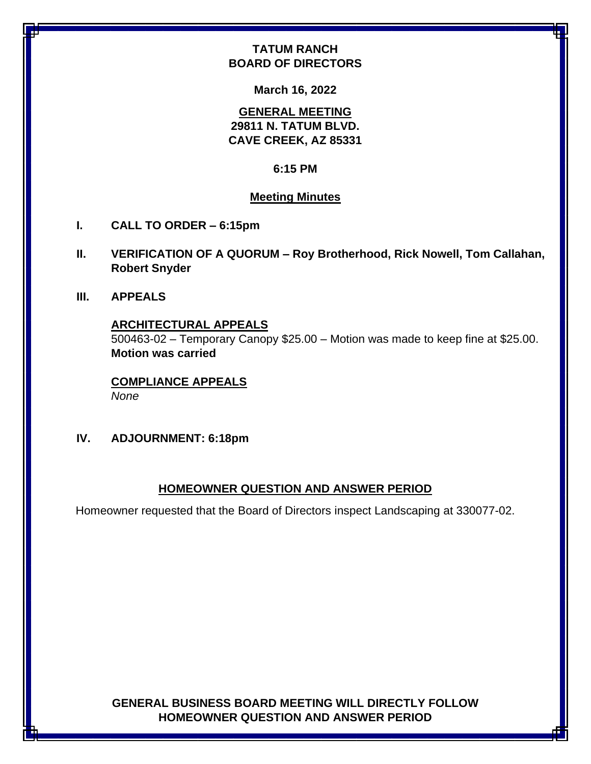# **TATUM RANCH BOARD OF DIRECTORS**

**March 16, 2022**

**GENERAL MEETING 29811 N. TATUM BLVD. CAVE CREEK, AZ 85331**

#### **6:15 PM**

## **Meeting Minutes**

- **I. CALL TO ORDER – 6:15pm**
- **II. VERIFICATION OF A QUORUM – Roy Brotherhood, Rick Nowell, Tom Callahan, Robert Snyder**
- **III. APPEALS**

#### **ARCHITECTURAL APPEALS**

500463-02 – Temporary Canopy \$25.00 – Motion was made to keep fine at \$25.00. **Motion was carried**

**COMPLIANCE APPEALS** *None*

**IV. ADJOURNMENT: 6:18pm**

#### **HOMEOWNER QUESTION AND ANSWER PERIOD**

Homeowner requested that the Board of Directors inspect Landscaping at 330077-02.

**GENERAL BUSINESS BOARD MEETING WILL DIRECTLY FOLLOW HOMEOWNER QUESTION AND ANSWER PERIOD**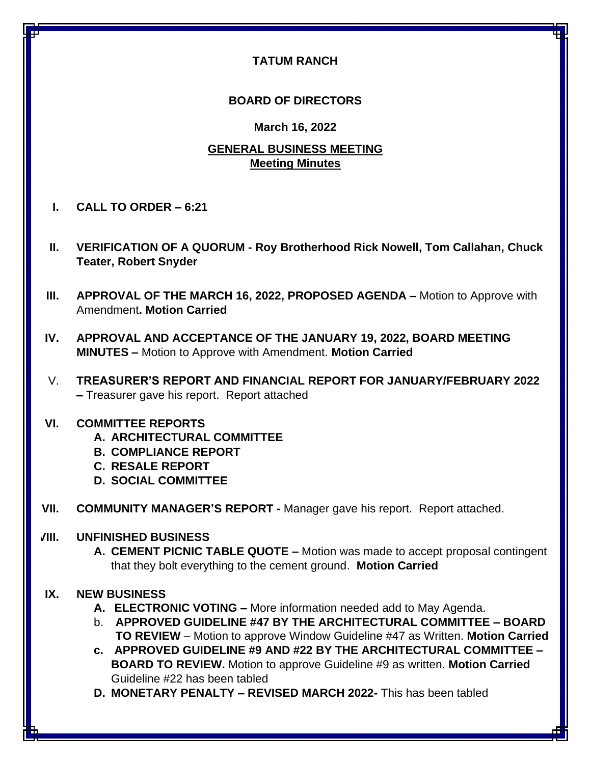## **TATUM RANCH**

## **BOARD OF DIRECTORS**

#### **March 16, 2022**

## **GENERAL BUSINESS MEETING Meeting Minutes**

- **I. CALL TO ORDER – 6:21**
- **II. VERIFICATION OF A QUORUM - Roy Brotherhood Rick Nowell, Tom Callahan, Chuck Teater, Robert Snyder**
- **III. APPROVAL OF THE MARCH 16, 2022, PROPOSED AGENDA –** Motion to Approve with Amendment**. Motion Carried**
- **IV. APPROVAL AND ACCEPTANCE OF THE JANUARY 19, 2022, BOARD MEETING MINUTES –** Motion to Approve with Amendment. **Motion Carried**
- V. **TREASURER'S REPORT AND FINANCIAL REPORT FOR JANUARY/FEBRUARY 2022 –** Treasurer gave his report. Report attached

## **VI. COMMITTEE REPORTS**

- **A. ARCHITECTURAL COMMITTEE**
- **B. COMPLIANCE REPORT**
- **C. RESALE REPORT**
- **D. SOCIAL COMMITTEE**
- **VII. COMMUNITY MANAGER'S REPORT -** Manager gave his report. Report attached.

## **VIII. UNFINISHED BUSINESS**

**A. CEMENT PICNIC TABLE QUOTE –** Motion was made to accept proposal contingent that they bolt everything to the cement ground. **Motion Carried**

## **IX. NEW BUSINESS**

- **A. ELECTRONIC VOTING –** More information needed add to May Agenda.
- b. **APPROVED GUIDELINE #47 BY THE ARCHITECTURAL COMMITTEE – BOARD TO REVIEW** – Motion to approve Window Guideline #47 as Written. **Motion Carried**
- **c. APPROVED GUIDELINE #9 AND #22 BY THE ARCHITECTURAL COMMITTEE BOARD TO REVIEW.** Motion to approve Guideline #9 as written. **Motion Carried** Guideline #22 has been tabled
- **D. MONETARY PENALTY – REVISED MARCH 2022-** This has been tabled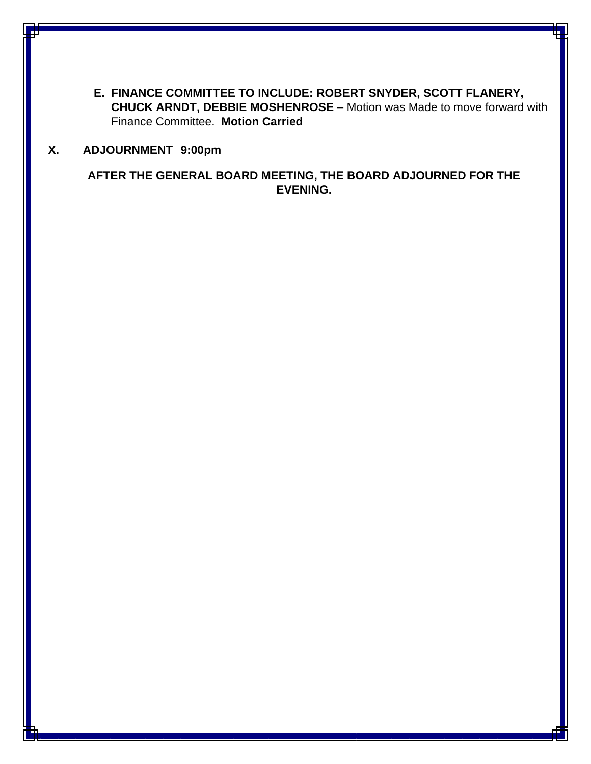**E. FINANCE COMMITTEE TO INCLUDE: ROBERT SNYDER, SCOTT FLANERY, CHUCK ARNDT, DEBBIE MOSHENROSE –** Motion was Made to move forward with Finance Committee. **Motion Carried**

## **X. ADJOURNMENT 9:00pm**

**AFTER THE GENERAL BOARD MEETING, THE BOARD ADJOURNED FOR THE EVENING.**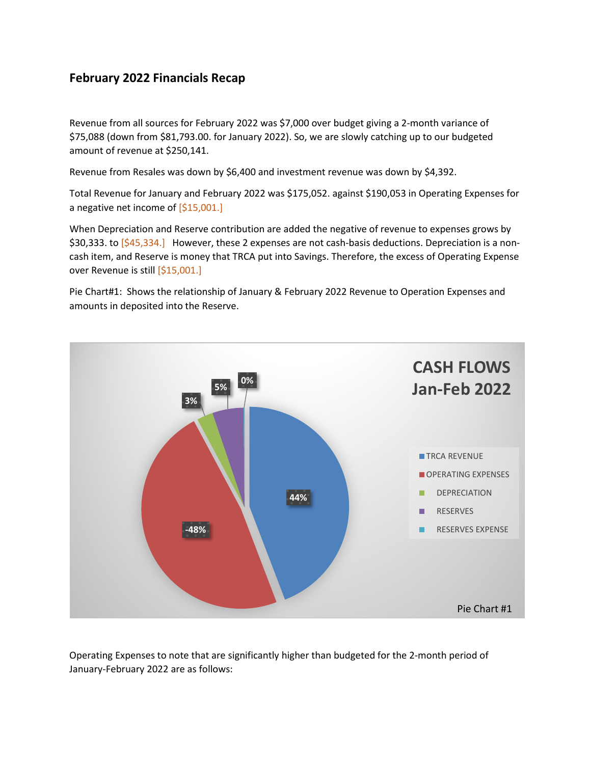# **February 2022 Financials Recap**

Revenue from all sources for February 2022 was \$7,000 over budget giving a 2-month variance of \$75,088 (down from \$81,793.00. for January 2022). So, we are slowly catching up to our budgeted amount of revenue at \$250,141.

Revenue from Resales was down by \$6,400 and investment revenue was down by \$4,392.

Total Revenue for January and February 2022 was \$175,052. against \$190,053 in Operating Expenses for a negative net income of  $[$15,001.]$ 

When Depreciation and Reserve contribution are added the negative of revenue to expenses grows by \$30,333. to  $[$45,334.]$  However, these 2 expenses are not cash-basis deductions. Depreciation is a noncash item, and Reserve is money that TRCA put into Savings. Therefore, the excess of Operating Expense over Revenue is still [\$15,001.]

Pie Chart#1: Shows the relationship of January & February 2022 Revenue to Operation Expenses and amounts in deposited into the Reserve.



Operating Expenses to note that are significantly higher than budgeted for the 2-month period of January-February 2022 are as follows: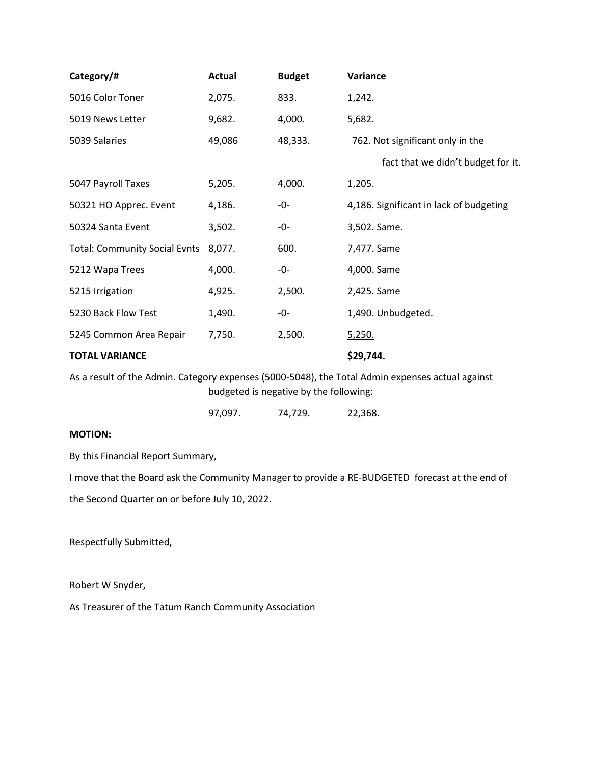| Category/#                                                                                       | <b>Actual</b> | <b>Budget</b> | Variance                                |  |
|--------------------------------------------------------------------------------------------------|---------------|---------------|-----------------------------------------|--|
| 5016 Color Toner                                                                                 | 2,075.        | 833.          | 1,242.                                  |  |
| 5019 News Letter                                                                                 | 9,682.        | 4,000.        | 5,682.                                  |  |
| 5039 Salaries                                                                                    | 49,086        | 48,333.       | 762. Not significant only in the        |  |
|                                                                                                  |               |               | fact that we didn't budget for it.      |  |
| 5047 Payroll Taxes                                                                               | 5,205.        | 4,000.        | 1,205.                                  |  |
| 50321 HO Apprec. Event                                                                           | 4,186.        | -0-           | 4,186. Significant in lack of budgeting |  |
| 50324 Santa Event                                                                                | 3,502.        | -0-           | 3,502. Same.                            |  |
| <b>Total: Community Social Evnts</b>                                                             | 8,077.        | 600.          | 7,477. Same                             |  |
| 5212 Wapa Trees                                                                                  | 4,000.        | -0-           | 4,000. Same                             |  |
| 5215 Irrigation                                                                                  | 4,925.        | 2,500.        | 2,425. Same                             |  |
| 5230 Back Flow Test                                                                              | 1,490.        | -0-           | 1,490. Unbudgeted.                      |  |
| 5245 Common Area Repair                                                                          | 7,750.        | 2,500.        | <u>5,250.</u>                           |  |
| <b>TOTAL VARIANCE</b>                                                                            |               |               | \$29,744.                               |  |
| As a result of the Admin. Category expenses (5000-5048), the Total Admin expenses actual against |               |               |                                         |  |

budgeted is negative by the following:

97,097. 74,729. 22,368.

#### **MOTION:**

By this Financial Report Summary,

I move that the Board ask the Community Manager to provide a RE-BUDGETED forecast at the end of

the Second Quarter on or before July 10, 2022.

Respectfully Submitted,

Robert W Snyder,

As Treasurer of the Tatum Ranch Community Association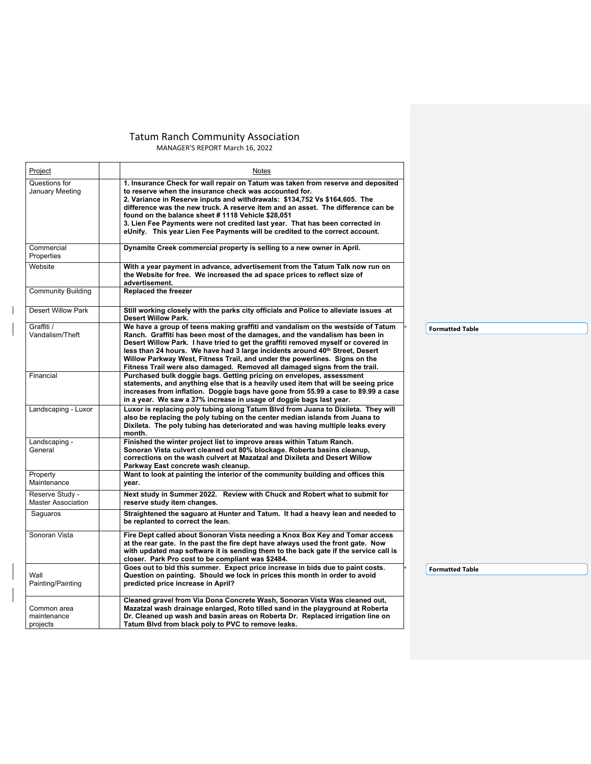#### Tatum Ranch Community Association MANAGER'S REPORT March 16, 2022

| Project                                      | Notes                                                                                                                                                                                                                                                                                                                                                                                                                                                                                                                             |                        |
|----------------------------------------------|-----------------------------------------------------------------------------------------------------------------------------------------------------------------------------------------------------------------------------------------------------------------------------------------------------------------------------------------------------------------------------------------------------------------------------------------------------------------------------------------------------------------------------------|------------------------|
| Questions for<br>January Meeting             | 1. Insurance Check for wall repair on Tatum was taken from reserve and deposited<br>to reserve when the insurance check was accounted for.<br>2. Variance in Reserve inputs and withdrawals: \$134,752 Vs \$164,605. The<br>difference was the new truck. A reserve item and an asset. The difference can be<br>found on the balance sheet #1118 Vehicle \$28.051<br>3. Lien Fee Payments were not credited last year. That has been corrected in<br>eUnify. This year Lien Fee Payments will be credited to the correct account. |                        |
| Commercial<br>Properties                     | Dynamite Creek commercial property is selling to a new owner in April.                                                                                                                                                                                                                                                                                                                                                                                                                                                            |                        |
| Website                                      | With a year payment in advance, advertisement from the Tatum Talk now run on<br>the Website for free. We increased the ad space prices to reflect size of<br>advertisement.                                                                                                                                                                                                                                                                                                                                                       |                        |
| <b>Community Building</b>                    | <b>Replaced the freezer</b>                                                                                                                                                                                                                                                                                                                                                                                                                                                                                                       |                        |
| <b>Desert Willow Park</b>                    | Still working closely with the parks city officials and Police to alleviate issues -at<br><b>Desert Willow Park.</b>                                                                                                                                                                                                                                                                                                                                                                                                              |                        |
| Graffiti /<br>Vandalism/Theft                | We have a group of teens making graffiti and vandalism on the westside of Tatum<br>Ranch. Graffiti has been most of the damages, and the vandalism has been in<br>Desert Willow Park. I have tried to get the graffiti removed myself or covered in<br>less than 24 hours. We have had 3 large incidents around 40th Street, Desert<br>Willow Parkway West, Fitness Trail, and under the powerlines. Signs on the<br>Fitness Trail were also damaged. Removed all damaged signs from the trail.                                   | <b>Formatted Table</b> |
| Financial                                    | Purchased bulk doggie bags. Getting pricing on envelopes, assessment<br>statements, and anything else that is a heavily used item that will be seeing price<br>increases from inflation. Doggie bags have gone from 55.99 a case to 89.99 a case<br>in a year. We saw a 37% increase in usage of doggie bags last year.                                                                                                                                                                                                           |                        |
| Landscaping - Luxor                          | Luxor is replacing poly tubing along Tatum Blvd from Juana to Dixileta. They will<br>also be replacing the poly tubing on the center median islands from Juana to<br>Dixileta. The poly tubing has deteriorated and was having multiple leaks every<br>month.                                                                                                                                                                                                                                                                     |                        |
| Landscaping -<br>General                     | Finished the winter project list to improve areas within Tatum Ranch.<br>Sonoran Vista culvert cleaned out 80% blockage. Roberta basins cleanup,<br>corrections on the wash culvert at Mazatzal and Dixileta and Desert Willow<br>Parkway East concrete wash cleanup.                                                                                                                                                                                                                                                             |                        |
| Property<br>Maintenance                      | Want to look at painting the interior of the community building and offices this<br>year.                                                                                                                                                                                                                                                                                                                                                                                                                                         |                        |
| Reserve Study -<br><b>Master Association</b> | Next study in Summer 2022. Review with Chuck and Robert what to submit for<br>reserve study item changes.                                                                                                                                                                                                                                                                                                                                                                                                                         |                        |
| Saguaros                                     | Straightened the saguaro at Hunter and Tatum. It had a heavy lean and needed to<br>be replanted to correct the lean.                                                                                                                                                                                                                                                                                                                                                                                                              |                        |
| Sonoran Vista                                | Fire Dept called about Sonoran Vista needing a Knox Box Key and Tomar access<br>at the rear gate. In the past the fire dept have always used the front gate. Now<br>with updated map software it is sending them to the back gate if the service call is<br>closer. Park Pro cost to be compliant was \$2484.                                                                                                                                                                                                                     |                        |
| Wall<br>Painting/Painting                    | Goes out to bid this summer. Expect price increase in bids due to paint costs.<br>Question on painting. Should we lock in prices this month in order to avoid<br>predicted price increase in April?                                                                                                                                                                                                                                                                                                                               | <b>Formatted Table</b> |
| Common area<br>maintenance<br>projects       | Cleaned gravel from Via Dona Concrete Wash, Sonoran Vista Was cleaned out,<br>Mazatzal wash drainage enlarged, Roto tilled sand in the playground at Roberta<br>Dr. Cleaned up wash and basin areas on Roberta Dr. Replaced irrigation line on<br>Tatum Blvd from black poly to PVC to remove leaks.                                                                                                                                                                                                                              |                        |